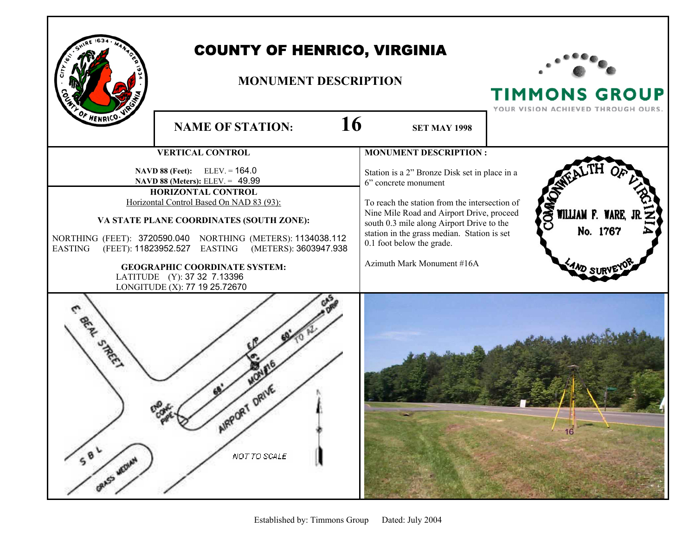

## COUNTY OF HENRICO, VIRGINIA

## **MONUMENT DESCRIPTION**



**TIMMONS GROUP** 

YOUR VISION ACHIEVED THROUGH OURS. **NAME OF STATION:**  $16$  SET MAY 1998 **MONUMENT DESCRIPTION : VERTICAL CONTROL NAVD 88 (Feet):** ELEV. = 164.0 Station is a 2" Bronze Disk set in place in a  **NAVD 88 (Meters):** ELEV. = 49.99 6" concrete monument **HORIZONTAL CONTROL** Horizontal Control Based On NAD 83 (93): To reach the station from the intersection of Nine Mile Road and Airport Drive, proceed WILLIAM F. **VA STATE PLANE COORDINATES (SOUTH ZONE):**  south 0.3 mile along Airport Drive to the No. 1767 station in the grass median. Station is set NORTHING (FEET): 3720590.040 NORTHING (METERS): 1134038.112 0.1 foot below the grade. EASTING (FEET): 11823952.527 EASTING (METERS): 3603947.938 Azimuth Mark Monument #16A **GEOGRAPHIC COORDINATE SYSTEM:**  LATITUDE (Y): 37 32 7.13396 LONGITUDE (X): 77 19 25.72670 **S.REE AIRPORT DRIVE**  $58$ NOT TO SCALE